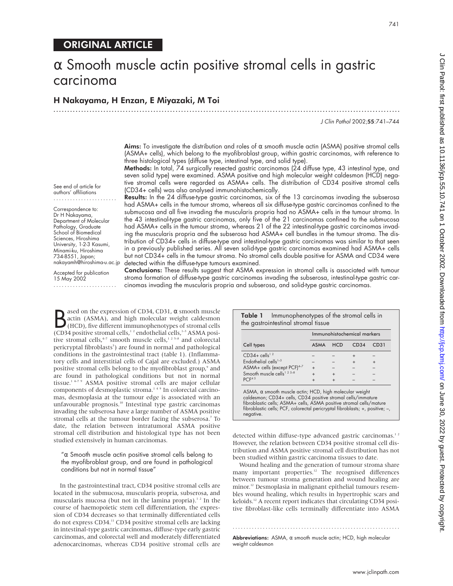# ORIGINAL ARTICLE

# $\alpha$  Smooth muscle actin positive stromal cells in gastric carcinoma

.............................................................................................................................

## H Nakayama, H Enzan, E Miyazaki, M Toi

J Clin Pathol 2002;55:741–744

**Aims:** To investigate the distribution and roles of  $\alpha$  smooth muscle actin (ASMA) positive stromal cells (ASMA+ cells), which belong to the myofibroblast group, within gastric carcinomas, with reference to three histological types (diffuse type, intestinal type, and solid type).

Methods: In total, 74 surgically resected gastric carcinomas (24 diffuse type, 43 intestinal type, and seven solid type) were examined. ASMA positive and high molecular weight caldesmon (HCD) negative stromal cells were regarded as ASMA+ cells. The distribution of CD34 positive stromal cells (CD34+ cells) was also analysed immunohistochemically. Results: In the 24 diffuse-type gastric carcinomas, six of the 13 carcinomas invading the subserosa

had ASMA+ cells in the tumour stroma, whereas all six diffuse-type gastric carcinomas confined to the submucosa and all five invading the muscularis propria had no ASMA+ cells in the tumour stroma. In

See end of article for authors' affiliations .......................

Correspondence to: Dr H Nakayama, Department of Molecular Pathology, Graduate School of Biomedical Sciences, Hiroshima University, 1-2-3 Kasumi, Minami-ku, Hiroshima 734-8551, Japan; nakayamh@hiroshima-u.ac.jp

Accepted for publication 15 May 2002 .......................

the 43 intestinal-type gastric carcinomas, only five of the 21 carcinomas confined to the submucosa had ASMA+ cells in the tumour stroma, whereas 21 of the 22 intestinal-type gastric carcinomas invading the muscularis propria and the subserosa had ASMA+ cell bundles in the tumour stroma. The distribution of CD34+ cells in diffuse-type and intestinal-type gastric carcinomas was similar to that seen in a previously published series. All seven solid-type gastric carcinomas examined had ASMA+ cells but not CD34+ cells in the tumour stroma. No stromal cells double positive for ASMA and CD34 were detected within the diffuse-type tumours examined.

Conclusions: These results suggest that ASMA expression in stromal cells is associated with tumour stroma formation of diffuse-type gastric carcinomas invading the subserosa, intestinal-type gastric carcinomas invading the muscularis propria and subserosa, and solid-type gastric carcinomas.

**B** ased on the expression of CD34, CD31,  $\alpha$  smooth muscle actin (ASMA), and high molecular weight caldesmon (HCD), five different immunophenotypes of stromal cells (CD34 positive stromal cells,<sup>1,2</sup> endothelial cells,<sup></sup> ased on the expression of CD34, CD31, α smooth muscle actin (ASMA), and high molecular weight caldesmon (HCD), five different immunophenotypes of stromal cells tive stromal cells,<sup>4-7</sup> smooth muscle cells,<sup>125-8</sup> and colorectal pericryptal fibroblasts<sup>5</sup>) are found in normal and pathological conditions in the gastrointestinal tract (table 1). (Inflammatory cells and interstitial cells of Cajal are excluded.) ASMA positive stromal cells belong to the myofibroblast group,<sup>9</sup> and are found in pathological conditions but not in normal tissue.<sup>14-79</sup> ASMA positive stromal cells are major cellular components of desmoplastic stroma.<sup>149</sup> In colorectal carcinomas, desmoplasia at the tumour edge is associated with an unfavourable prognosis.<sup>10</sup> Intestinal type gastric carcinomas invading the subserosa have a large number of ASMA positive stromal cells at the tumour border facing the subserosa.<sup>7</sup> To date, the relation between intratumoral ASMA positive stromal cell distribution and histological type has not been studied extensively in human carcinomas.

" $\alpha$  Smooth muscle actin positive stromal cells belong to the myofibroblast group, and are found in pathological conditions but not in normal tissue"

In the gastrointestinal tract, CD34 positive stromal cells are located in the submucosa, muscularis propria, subserosa, and muscularis mucosa (but not in the lamina propria).<sup>12</sup> In the course of haemopoietic stem cell differentiation, the expression of CD34 decreases so that terminally differentiated cells do not express CD34.<sup>11</sup> CD34 positive stromal cells are lacking in intestinal-type gastric carcinomas, diffuse-type early gastric carcinomas, and colorectal well and moderately differentiated adenocarcinomas, whereas CD34 positive stromal cells are

|                                         | Immunohistochemical markers |            |      |      |
|-----------------------------------------|-----------------------------|------------|------|------|
| Cell types                              | <b>ASMA</b>                 | <b>HCD</b> | CD34 | CD31 |
| $CD34 +$ cells <sup>12</sup>            |                             |            |      |      |
| Endothelial cells <sup>1-3</sup>        |                             |            |      |      |
| ASMA+ cells (except PCF) <sup>4-7</sup> | $\ddot{}$                   |            |      |      |
| Smooth muscle cells <sup>1 2 5-8</sup>  |                             |            |      |      |
| PCF <sup>45</sup>                       | $\ddot{}$                   |            |      |      |

**Table 1** Immunophenotypes of the stromal cells in

caldesmon; CD34+ cells, CD34 positive stromal cells/immature fibroblastic cells; ASMA+ cells, ASMA positive stromal cells/mature fibroblastic cells; PCF, colorectal pericryptal fibroblasts; +, positive; –, negative.

detected within diffuse-type advanced gastric carcinomas.<sup>12</sup> However, the relation between CD34 positive stromal cell distribution and ASMA positive stromal cell distribution has not been studied within gastric carcinoma tissues to date.

Wound healing and the generation of tumour stroma share many important properties. $\overline{a}$ <sup>12</sup> The recognised differences between tumour stroma generation and wound healing are minor.12 Desmoplasia in malignant epithelial tumours resembles wound healing, which results in hypertrophic scars and keloids.<sup>12</sup> A recent report indicates that circulating CD34 positive fibroblast-like cells terminally differentiate into ASMA

Abbreviations: ASMA, α smooth muscle actin; HCD, high molecular weight caldesmon

.............................................................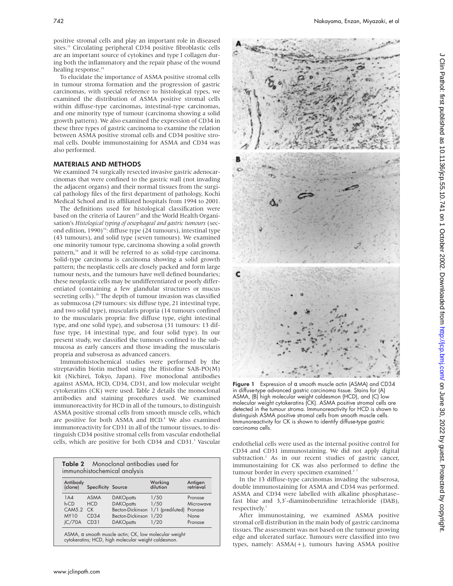positive stromal cells and play an important role in diseased sites.<sup>13</sup> Circulating peripheral CD34 positive fibroblastic cells are an important source of cytokines and type I collagen during both the inflammatory and the repair phase of the wound healing response.<sup>14</sup>

To elucidate the importance of ASMA positive stromal cells in tumour stroma formation and the progression of gastric carcinomas, with special reference to histological types, we examined the distribution of ASMA positive stromal cells within diffuse-type carcinomas, intestinal-type carcinomas, and one minority type of tumour (carcinoma showing a solid growth pattern). We also examined the expression of CD34 in these three types of gastric carcinoma to examine the relation between ASMA positive stromal cells and CD34 positive stromal cells. Double immunostaining for ASMA and CD34 was also performed.

### MATERIALS AND METHODS

We examined 74 surgically resected invasive gastric adenocarcinomas that were confined to the gastric wall (not invading the adjacent organs) and their normal tissues from the surgical pathology files of the first department of pathology, Kochi Medical School and its affiliated hospitals from 1994 to 2001.

The definitions used for histological classification were based on the criteria of Lauren<sup>15</sup> and the World Health Organisation's *Histological typing of oesophageal and gastric tumours* (second edition,  $1990)$ <sup>16</sup>: diffuse type (24 tumours), intestinal type (43 tumours), and solid type (seven tumours). We examined one minority tumour type, carcinoma showing a solid growth pattern,<sup>16</sup> and it will be referred to as solid-type carcinoma. Solid-type carcinoma is carcinoma showing a solid growth pattern; the neoplastic cells are closely packed and form large tumour nests, and the tumours have well defined boundaries; these neoplastic cells may be undifferentiated or poorly differentiated (containing a few glandular structures or mucus secreting cells).<sup>16</sup> The depth of tumour invasion was classified as submucosa (29 tumours: six diffuse type, 21 intestinal type, and two solid type), muscularis propria (14 tumours confined to the muscularis propria: five diffuse type, eight intestinal type, and one solid type), and subserosa (31 tumours: 13 diffuse type, 14 intestinal type, and four solid type). In our present study, we classified the tumours confined to the submucosa as early cancers and those invading the muscularis propria and subserosa as advanced cancers.

Immunohistochemical studies were performed by the streptavidin biotin method using the Histofine SAB-PO(M) kit (Nichirei, Tokyo, Japan). Five monoclonal antibodies against ASMA, HCD, CD34, CD31, and low molecular weight cytokeratins (CK) were used. Table 2 details the monoclonal antibodies and staining procedures used. We examined immunoreactivity for HCD in all of the tumours, to distinguish ASMA positive stromal cells from smooth muscle cells, which are positive for both ASMA and HCD.<sup>8</sup> We also examined immunoreactivity for CD31 in all of the tumour tissues, to distinguish CD34 positive stromal cells from vascular endothelial cells, which are positive for both CD34 and CD31.<sup>3</sup> Vascular endothelial cells were used as the internal positive control for

| Antibody    |                    |                  | Working          | Antigen   |
|-------------|--------------------|------------------|------------------|-----------|
| (clone)     | Specificity Source |                  | dilution         | retrieval |
| 1A4         | ASMA               | <b>DAKOpatts</b> | 1/50             | Pronase   |
| $h$ -CD     | <b>HCD</b>         | <b>DAKOpatts</b> | 1/50             | Microwave |
| CAM5.2 CK   |                    | Becton-Dickinson | 1/1 (prediluted) | Pronase   |
| <b>MY10</b> | CD34               | Becton-Dickinson | 1/20             | None      |
| JC/70A      | CD31               | <b>DAKOpatts</b> | 1/20             | Pronase   |



**Figure 1** Expression of  $\alpha$  smooth muscle actin (ASMA) and CD34 in diffuse-type advanced gastric carcinoma tissue. Stains for (A) ASMA, (B) high molecular weight caldesmon (HCD), and (C) low molecular weight cytokeratins (CK). ASMA positive stromal cells are detected in the tumour stroma. Immunoreactivity for HCD is shown to distinguish ASMA positive stromal cells from smooth muscle cells. Immunoreactivity for CK is shown to identify diffuse-type gastric carcinoma cells.

CD34 and CD31 immunostaining. We did not apply digital subtraction.2 As in our recent studies of gastric cancer, immunostaining for CK was also performed to define the tumour border in every specimen examined.<sup>2</sup>

In the 13 diffuse-type carcinomas invading the subserosa, double immunostaining for ASMA and CD34 was performed. ASMA and CD34 were labelled with alkaline phosphatase– fast blue and 3,3′-diaminobenzidine tetrachloride (DAB), respectively.<sup>1</sup>

After immunostaining, we examined ASMA positive stromal cell distribution in the main body of gastric carcinoma tissues. The assessment was not based on the tumour growing edge and ulcerated surface. Tumours were classified into two types, namely:  $ASMA(+)$ , tumours having ASMA positive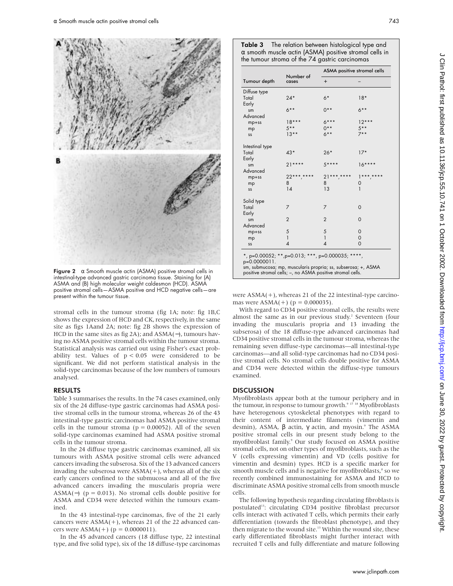

Figure 2  $\alpha$  Smooth muscle actin (ASMA) positive stromal cells in intestinal-type advanced gastric carcinoma tissue. Staining for (A) ASMA and (B) high molecular weight caldesmon (HCD). ASMA positive stromal cells—ASMA positive and HCD negative cells—are present within the tumour tissue.

stromal cells in the tumour stroma (fig 1A; note: fig 1B,C shows the expression of HCD and CK, respectively, in the same site as figs 1Aand 2A; note: fig 2B shows the expression of HCD in the same sites as fig 2A); and ASMA(−), tumours having no ASMA positive stromal cells within the tumour stroma. Statistical analysis was carried out using Fisher's exact probability test. Values of p < 0.05 were considered to be significant. We did not perform statistical analysis in the solid-type carcinomas because of the low numbers of tumours analysed.

#### RESULTS

Table 3 summarises the results. In the 74 cases examined, only six of the 24 diffuse-type gastric carcinomas had ASMA positive stromal cells in the tumour stroma, whereas 26 of the 43 intestinal-type gastric carcinomas had ASMA positive stromal cells in the tumour stroma ( $p = 0.00052$ ). All of the seven solid-type carcinomas examined had ASMA positive stromal cells in the tumour stroma.

In the 24 diffuse type gastric carcinomas examined, all six tumours with ASMA positive stromal cells were advanced cancers invading the subserosa. Six of the 13 advanced cancers invading the subserosa were  $ASMA(+)$ , whereas all of the six early cancers confined to the submucosa and all of the five advanced cancers invading the muscularis propria were ASMA(−) ( $p = 0.013$ ). No stromal cells double positive for ASMA and CD34 were detected within the tumours examined.

In the 43 intestinal-type carcinomas, five of the 21 early cancers were  $ASMA(+)$ , whereas 21 of the 22 advanced cancers were  $ASMA(+)$  ( $p = 0.0000011$ ).

In the 45 advanced cancers (18 diffuse type, 22 intestinal type, and five solid type), six of the 18 diffuse-type carcinomas

| Table 3 | The relation between histological type and                    |  |  |  |
|---------|---------------------------------------------------------------|--|--|--|
|         | $\alpha$ smooth muscle actin (ASMA) positive stromal cells in |  |  |  |
|         | the tumour stroma of the 74 gastric carcinomas                |  |  |  |

|                                                                                                                                                                                                  |                    | ASMA positive stromal cells |                |  |  |
|--------------------------------------------------------------------------------------------------------------------------------------------------------------------------------------------------|--------------------|-----------------------------|----------------|--|--|
| Tumour depth                                                                                                                                                                                     | Number of<br>cases | $+$                         |                |  |  |
| Diffuse type                                                                                                                                                                                     |                    |                             |                |  |  |
| Total                                                                                                                                                                                            | $24*$              | $6*$                        | $18*$          |  |  |
| Early                                                                                                                                                                                            |                    |                             |                |  |  |
| sm                                                                                                                                                                                               | $6***$             | $0***$                      | $6***$         |  |  |
| Advanced                                                                                                                                                                                         | $18***$            | $6***$                      | $12***$        |  |  |
| mp+ss                                                                                                                                                                                            | $5***$             | $0***$                      | $.5***$        |  |  |
| mp                                                                                                                                                                                               | $13**$             | $6***$                      | $7**$          |  |  |
| SS                                                                                                                                                                                               |                    |                             |                |  |  |
| Intestinal type                                                                                                                                                                                  |                    |                             |                |  |  |
| Total                                                                                                                                                                                            | $43*$              | $26*$                       | $17*$          |  |  |
| Early                                                                                                                                                                                            |                    |                             |                |  |  |
| sm                                                                                                                                                                                               | $21***$            | $5***$                      | $16***$        |  |  |
| Advanced                                                                                                                                                                                         |                    |                             |                |  |  |
| $mp+ss$                                                                                                                                                                                          | $22***$ *****      | $21***$ ,****               | $1***$ ****    |  |  |
| mp                                                                                                                                                                                               | 8                  | 8                           | 0              |  |  |
| SS                                                                                                                                                                                               | 14                 | 13                          | 1              |  |  |
| Solid type                                                                                                                                                                                       |                    |                             |                |  |  |
| Total                                                                                                                                                                                            | 7                  | 7                           | $\Omega$       |  |  |
| Early                                                                                                                                                                                            |                    |                             |                |  |  |
| sm                                                                                                                                                                                               | $\overline{2}$     | $\overline{2}$              | 0              |  |  |
| Advanced                                                                                                                                                                                         |                    |                             |                |  |  |
| $mp+ss$                                                                                                                                                                                          | 5                  | 5                           | 0              |  |  |
| mp                                                                                                                                                                                               | $\mathbf{1}$       | $\mathbf{1}$                | $\mathbf 0$    |  |  |
| SS                                                                                                                                                                                               | 4                  | 4                           | $\overline{O}$ |  |  |
| *, p=0.00052; **, p=0.013; ***, p=0.000035; ****,<br>p=0.0000011.<br>sm, submucosa; mp, muscularis propria; ss, subserosa; +, ASMA<br>positive stromal cells; -, no ASMA positive stromal cells. |                    |                             |                |  |  |

were ASMA(+), whereas 21 of the 22 intestinal-type carcinomas were  $ASMA(+)$  ( $p = 0.000035$ ).

With regard to CD34 positive stromal cells, the results were almost the same as in our previous study.<sup>2</sup> Seventeen (four invading the muscularis propria and 13 invading the subserosa) of the 18 diffuse-type advanced carcinomas had CD34 positive stromal cells in the tumour stroma, whereas the remaining seven diffuse-type carcinomas—all intestinal-type carcinomas—and all solid-type carcinomas had no CD34 positive stromal cells. No stromal cells double positive for ASMA and CD34 were detected within the diffuse-type tumours examined.

### DISCUSSION

Myofibroblasts appear both at the tumour periphery and in the tumour, in response to tumour growth.<sup>9</sup> <sup>17</sup> <sup>18</sup> Myofibroblasts have heterogenous cytoskeletal phenotypes with regard to their content of intermediate filaments (vimentin and desmin), ASMA,  $\beta$  actin,  $\gamma$  actin, and myosin.<sup>9</sup> The ASMA positive stromal cells in our present study belong to the myofibroblast family.<sup>9</sup> Our study focused on ASMA positive stromal cells, not on other types of myofibroblasts, such as the V (cells expressing vimentin) and VD (cells positive for vimentin and desmin) types. HCD is a specific marker for smooth muscle cells and is negative for myofibroblasts,<sup>8</sup> so we recently combined immunostaining for ASMA and HCD to discriminate ASMA positive stromal cells from smooth muscle cells.

The following hypothesis regarding circulating fibroblasts is postulated<sup>13</sup>: circulating CD34 positive fibroblast precursor cells interact with activated T cells, which permits their early differentiation (towards the fibroblast phenotype), and they then migrate to the wound site.<sup>13</sup> Within the wound site, these early differentiated fibroblasts might further interact with recruited T cells and fully differentiate and mature following